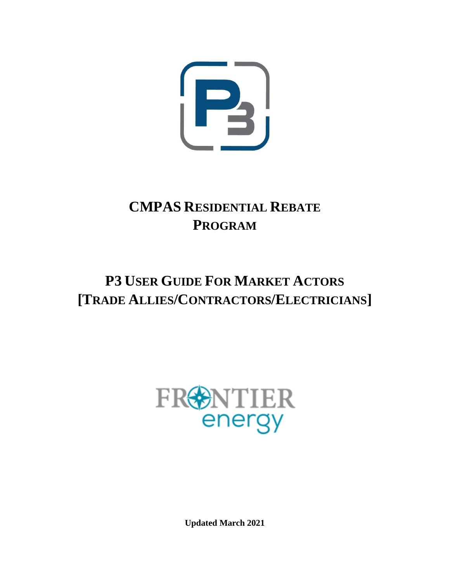

# **CMPAS RESIDENTIAL REBATE PROGRAM**

# **P3 USER GUIDE FOR MARKET ACTORS [TRADE ALLIES/CONTRACTORS/ELECTRICIANS]**



**Updated March 2021**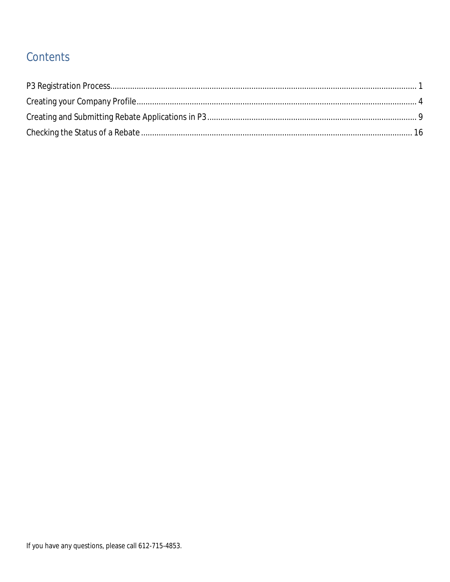# Contents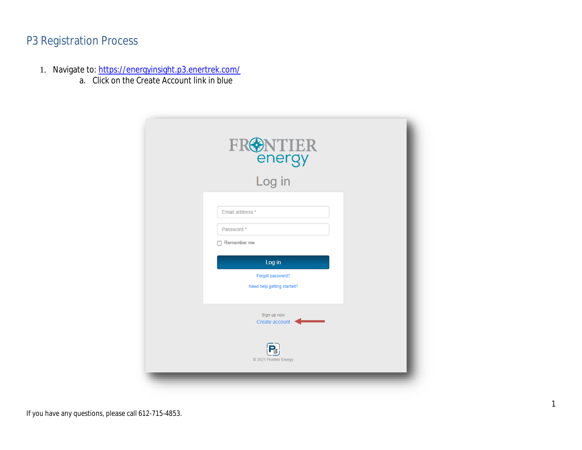## P3 Registration Process

- 1. Navigate to: <https://energyinsight.p3.enertrek.com/>
	- a. Click on the Create Account link in blue

| FR <sup>ONTIER</sup><br>Log in                                                                          |  |
|---------------------------------------------------------------------------------------------------------|--|
| Email address *<br>Password*<br>Remember me<br>Log in<br>Forgot password?<br>Need help getting started? |  |
| Sign up now<br>Create account<br>© 2021 Frontier Energy                                                 |  |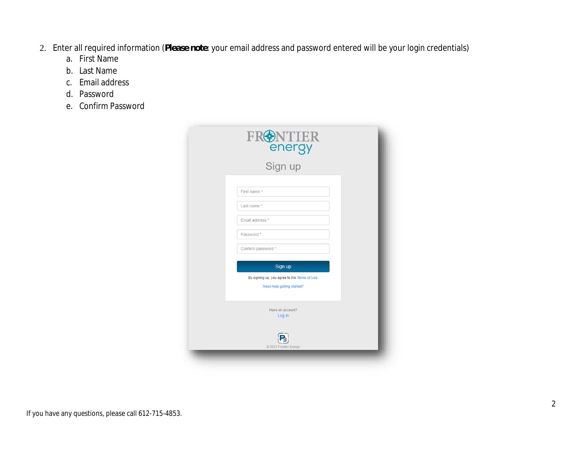- 2. Enter all required information (*Please note*: your email address and password entered will be your login credentials)
	- a. First Name
	- b. Last Name
	- c. Email address
	- d. Password
	- e. Confirm Password

| FRONTIER<br>energy<br>Sign up                                               |  |
|-----------------------------------------------------------------------------|--|
|                                                                             |  |
| First name *                                                                |  |
| Last name *                                                                 |  |
| Email address *                                                             |  |
| Password *<br>Confirm password *                                            |  |
| Sign up                                                                     |  |
| By signing up, you agree to the Terms of Use.<br>Need help getting started? |  |
| Have an account?<br>Log in                                                  |  |
| © 2021 Frontier Energy                                                      |  |
|                                                                             |  |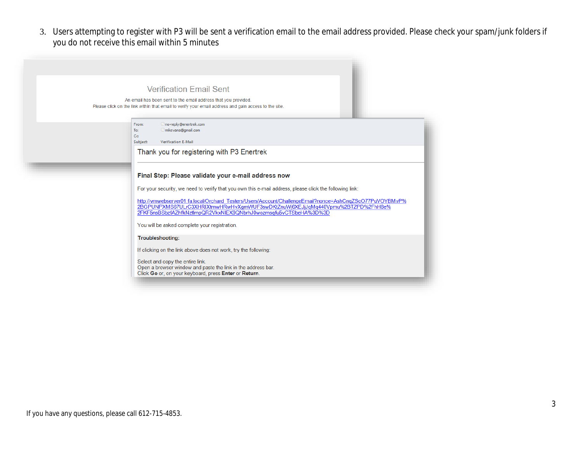3. Users attempting to register with P3 will be sent a verification email to the email address provided. Please check your spam/junk folders if you do not receive this email within 5 minutes

#### **Verification Email Sent**

An email has been sent to the email address that you provided. Please click on the link within that email to verify your email address and gain access to the site.

| From: | no-reply@enertrek.co |
|-------|----------------------|
| To:   | mikevans@gmail.com   |

 $C<sub>C</sub>$ Subject: Verification E-Mail

Thank you for registering with P3 Enertrek

#### Final Step: Please validate your e-mail address now

For your security, we need to verify that you own this e-mail address, please click the following link:

http://vmwebserver01.fa.local/Orchard\_Testers/Users/Account/ChallengeEmail?nonce=AshCnqZScO77PuVOYBMvP% 2BGPUNPXMS67ULrC3XHRIXtmwHRwHvXgmWUF3swDKtZnuWj6XEJjJqMq440Vpmu%2BTZPD%2FhH8e%<br>2FKF5nsBSbzfAZhfkNztlmpQR2VkxNIEX9QNbrhJ0wozmsqfu5vCTSbeHA%3D%3D

You will be asked complete your registration.

**Troubleshooting:** 

If clicking on the link above does not work, try the following:

Select and copy the entire link. Open a browser window and paste the link in the address bar. Click Go or, on your keyboard, press Enter or Return.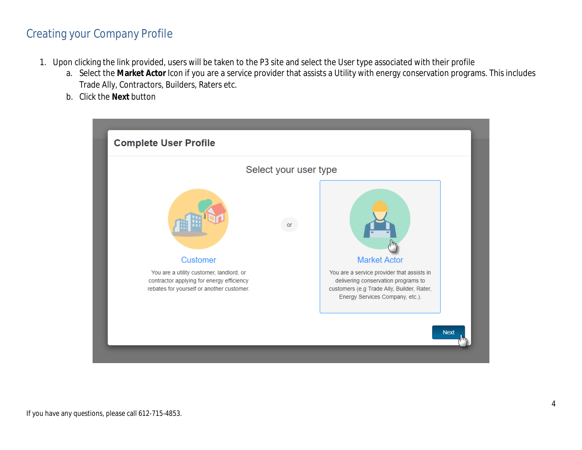## Creating your Company Profile

- 1. Upon clicking the link provided, users will be taken to the P3 site and select the User type associated with their profile
	- a. Select the **Market Actor** Icon if you are a service provider that assists a Utility with energy conservation programs. This includes Trade Ally, Contractors, Builders, Raters etc.
	- b. Click the **Next** button

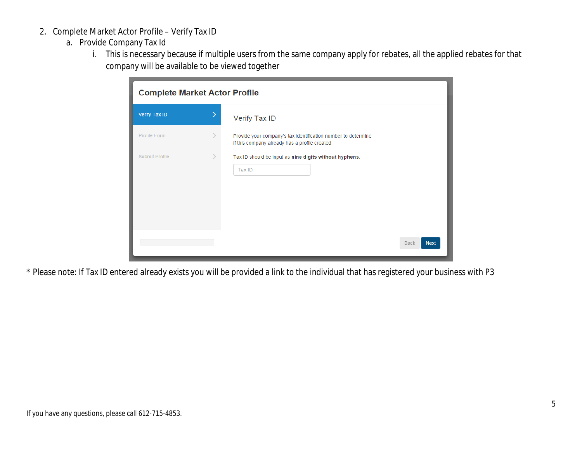- 2. Complete Market Actor Profile Verify Tax ID
	- a. Provide Company Tax Id
		- i. This is necessary because if multiple users from the same company apply for rebates, all the applied rebates for that company will be available to be viewed together

| <b>Complete Market Actor Profile</b> |   |                                                                                                                 |  |  |
|--------------------------------------|---|-----------------------------------------------------------------------------------------------------------------|--|--|
| Verify Tax ID                        | ⋗ | Verify Tax ID                                                                                                   |  |  |
| Profile Form                         |   | Provide your company's tax identification number to determine<br>if this company already has a profile created. |  |  |
| Submit Profile                       |   | Tax ID should be input as nine digits without hyphens.<br>Tax ID                                                |  |  |
|                                      |   | <b>Next</b><br>Back                                                                                             |  |  |

\* Please note: If Tax ID entered already exists you will be provided a link to the individual that has registered your business with P3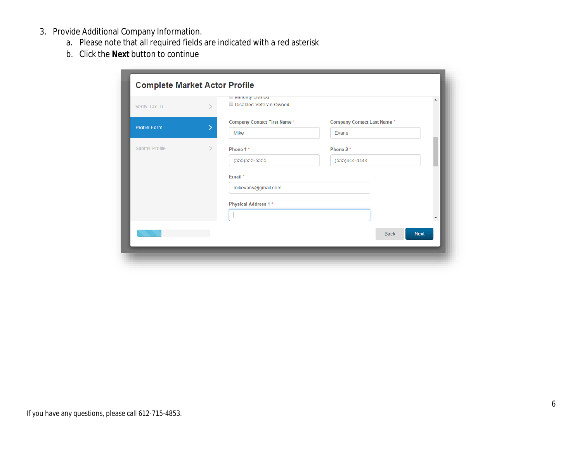- 3. Provide Additional Company Information.
	- a. Please note that all required fields are indicated with a red asterisk
	- b. Click the **Next** button to continue

| Verify Tax ID       |   | $\cup$ minority $\cup$ writed<br>Disabled Veteran Owned |                                   |             | $\Delta$    |
|---------------------|---|---------------------------------------------------------|-----------------------------------|-------------|-------------|
| <b>Profile Form</b> | ⋋ | <b>Company Contact First Name*</b>                      | <b>Company Contact Last Name*</b> |             |             |
|                     |   | Mike                                                    | Evans                             |             |             |
| Submit Profile      | ⋋ | Phone 1*                                                | Phone 2*                          |             |             |
|                     |   | $(555)555-5555$                                         | (555)444-4444                     |             |             |
|                     |   | Email *                                                 |                                   |             |             |
|                     |   | mikevans@gmail.com                                      |                                   |             |             |
|                     |   | Physical Address 1*                                     |                                   |             |             |
|                     |   |                                                         |                                   |             | Υ           |
|                     |   |                                                         |                                   | <b>Back</b> | <b>Next</b> |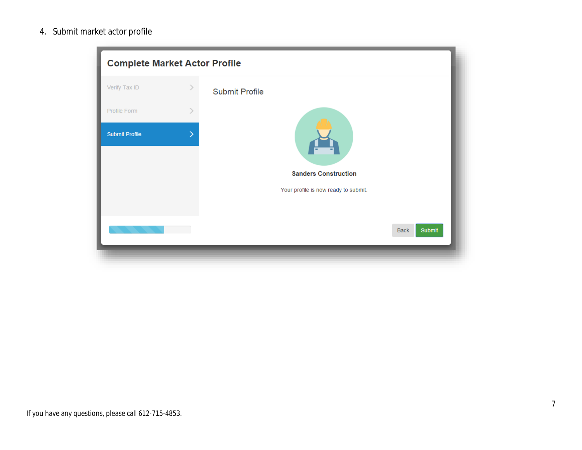4. Submit market actor profile

| <b>Complete Market Actor Profile</b> |   |                                                                     |  |  |  |  |
|--------------------------------------|---|---------------------------------------------------------------------|--|--|--|--|
| Verify Tax ID                        |   | <b>Submit Profile</b>                                               |  |  |  |  |
| Profile Form                         |   |                                                                     |  |  |  |  |
| <b>Submit Profile</b>                | ↘ |                                                                     |  |  |  |  |
|                                      |   | <b>Sanders Construction</b><br>Your profile is now ready to submit. |  |  |  |  |
|                                      |   |                                                                     |  |  |  |  |
|                                      |   | <b>Submit</b><br><b>Back</b>                                        |  |  |  |  |
|                                      |   |                                                                     |  |  |  |  |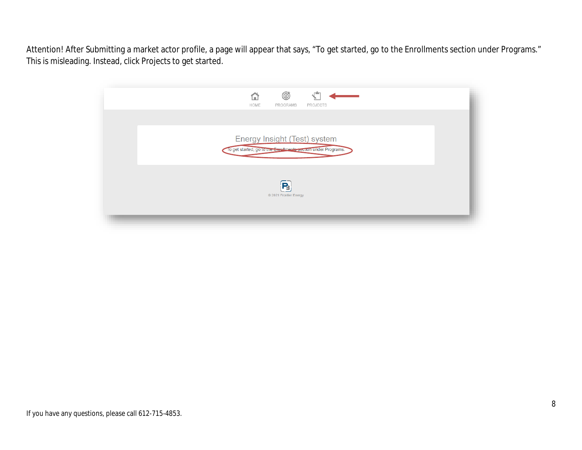Attention! After Submitting a market actor profile, a page will appear that says, "To get started, go to the Enrollments section under Programs." This is misleading. Instead, click Projects to get started.

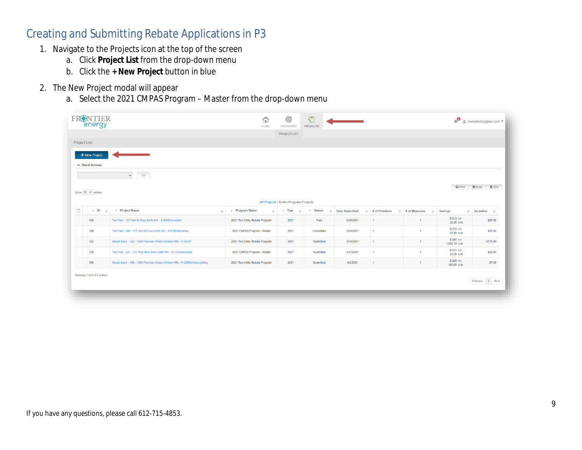#### Creating and Submitting Rebate Applications in P3

- 1. Navigate to the Projects icon at the top of the screen
	- a. Click **Project List** from the drop-down menu
	- b. Click the **+ New Project** button in blue
- 2. The New Project modal will appear
	- a. Select the 2021 CMPAS Program Master from the drop-down menu

|                                      | <b>PROJECT LIST</b>                   |                                                                                     |                          |                      |                          |                                     |
|--------------------------------------|---------------------------------------|-------------------------------------------------------------------------------------|--------------------------|----------------------|--------------------------|-------------------------------------|
|                                      |                                       |                                                                                     |                          |                      |                          |                                     |
|                                      |                                       |                                                                                     |                          |                      |                          |                                     |
|                                      |                                       |                                                                                     |                          |                      |                          |                                     |
|                                      |                                       |                                                                                     |                          |                      |                          |                                     |
|                                      |                                       |                                                                                     |                          |                      |                          |                                     |
|                                      |                                       |                                                                                     |                          |                      |                          |                                     |
|                                      |                                       |                                                                                     |                          |                      |                          | <b>B</b> Excel<br><b>图 CSV</b>      |
|                                      |                                       |                                                                                     |                          |                      |                          |                                     |
| $\overline{\tau}$ Program Name<br>11 | $\overline{\tau}$ Status<br>$\perp$ T |                                                                                     |                          |                      |                          | $\mathbb{H}$ Incentive $\mathbb{H}$ |
| 2021 Test Utility Rebate Program     | 2021<br>Paid                          | 3/26/2021                                                                           | $\mathbf{1}$             | $\mathbf{1}$         | 0.012 kW<br>33.05 kWh    | \$25.00                             |
| 2021 CMPAS Program - Master          | 2021<br>Completed                     | 3/26/2021                                                                           | $\mathbf{1}$             | $\mathbf{1}$         | 0.012 kW<br>33.05 kWh    | \$25.00                             |
| 2021 Test Utility Rebate Program     | 2021<br>Submitted                     | 3/30/2021                                                                           | $\mathbf{1}$             | $\mathbf{1}$         | 0.000 kW<br>1,655.19 kWh | \$175.00                            |
| 2021 CMPAS Program - Master          | 2021<br>Submitted                     | 3/31/2021                                                                           | $\mathbf{1}$             | $\blacktriangleleft$ | $0.012$ kW<br>33.05 kWh  | \$25.00                             |
| 2021 Test Utility Rebate Program     | 2021<br>Submitted                     | 4/2/2021                                                                            | $\mathbf{1}$             | $\mathbf{1}$         | 0.000 kW<br>150.00 kWh   | \$7.00                              |
|                                      |                                       |                                                                                     |                          |                      |                          |                                     |
|                                      |                                       |                                                                                     |                          |                      |                          | Previous 1 Next                     |
|                                      |                                       | <b>All Projects   Active Program Projects</b><br>$\text{Tr}$ $\overline{\tau}$ Year | <b>It Date Submitted</b> | It # of Premises     | <b>If # of Measures</b>  | $\bigoplus$ Print<br>It Savings     |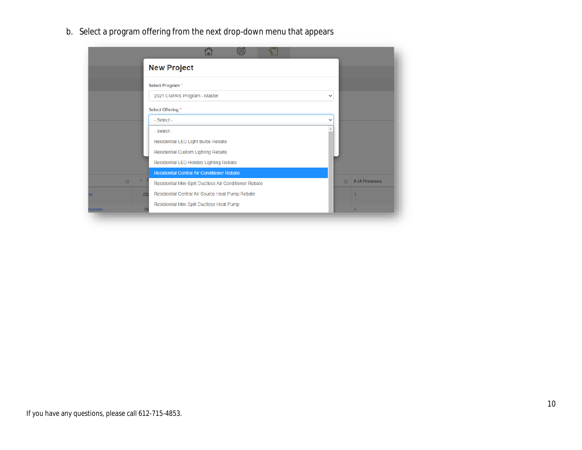b. Select a program offering from the next drop-down menu that appears

|        |     | <b>New Project</b>                                     |              |    |               |
|--------|-----|--------------------------------------------------------|--------------|----|---------------|
|        |     | <b>Select Program*</b>                                 |              |    |               |
|        |     | 2021 CMPAS Program - Master                            | $\checkmark$ |    |               |
|        |     | <b>Select Offering *</b>                               |              |    |               |
|        |     | - Select -                                             | $\checkmark$ |    |               |
|        |     | - Select -                                             | Δ            |    |               |
|        |     | Residential LED Light Bulbs Rebate                     |              |    |               |
|        |     | Residential Custom Lighting Rebate                     |              |    |               |
|        |     | Residential LED Holiday Lighting Rebate                |              |    |               |
|        |     | <b>Residential Central Air Conditioner Rebate</b>      |              |    |               |
| 11     |     | Residential Mini-Split Ductless Air Conditioner Rebate |              | 11 | # of Premises |
|        | 202 | Residential Central Air Source Heat Pump Rebate        |              |    |               |
| washer | 20  | Residential Mini Split Ductless Heat Pump              |              |    |               |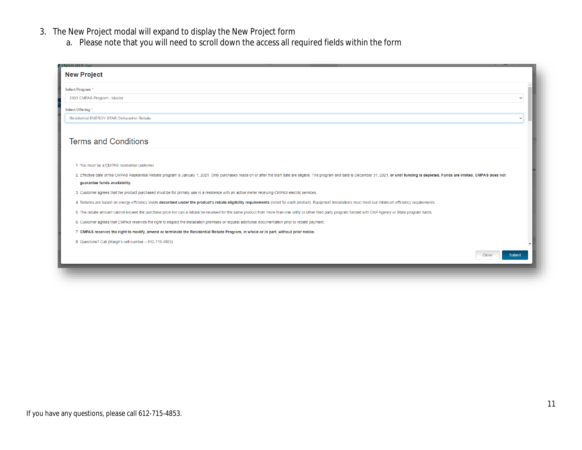- 3. The New Project modal will expand to display the New Project form
	- a. Please note that you will need to scroll down the access all required fields within the form

| Select Program*<br>2021 CMPAS Program - Master<br>Select Offering*<br><b>Residential ENERGY STAR Dishwasher Rebate</b><br><b>Terms and Conditions</b><br>1. You must be a CMPAS residential customer.<br>2. Effective date of the CMPAS Residential Rebate program is January 1, 2021. Only purchases made on or after the start date are eligible. The program end date is December 31, 2021, or until funding is depleted. Funds are<br>guarantee funds availability.<br>3. Customer agrees that the product purchased must be for primary use in a residence with an active meter receiving CMPAS electric services.<br>4. Rebates are based on energy efficiency levels described under the product's rebate eligibility requirements (listed for each product). Equipment installations must meet our minimum efficiency requirements.<br>5. The rebate amount cannot exceed the purchase price nor can a rebate be received for the same product from more than one utility or other third party program funded with CAP Agency or State program funds.<br>6. Customer agrees that CMPAS reserves the right to inspect the installation premises or request additional documentation prior to rebate payment.<br>7. CMPAS reserves the right to modify, amend or terminate the Residential Rebate Program, in whole or in part, without prior notice.<br>8. Questions? Call (Margit's cell number - 612-715-4853)<br><b>Close</b><br><b>Submit</b> | <b>INSIGHT.</b> IN<br><b>New Project</b> |  |
|----------------------------------------------------------------------------------------------------------------------------------------------------------------------------------------------------------------------------------------------------------------------------------------------------------------------------------------------------------------------------------------------------------------------------------------------------------------------------------------------------------------------------------------------------------------------------------------------------------------------------------------------------------------------------------------------------------------------------------------------------------------------------------------------------------------------------------------------------------------------------------------------------------------------------------------------------------------------------------------------------------------------------------------------------------------------------------------------------------------------------------------------------------------------------------------------------------------------------------------------------------------------------------------------------------------------------------------------------------------------------------------------------------------------------------------------------------|------------------------------------------|--|
|                                                                                                                                                                                                                                                                                                                                                                                                                                                                                                                                                                                                                                                                                                                                                                                                                                                                                                                                                                                                                                                                                                                                                                                                                                                                                                                                                                                                                                                          |                                          |  |
|                                                                                                                                                                                                                                                                                                                                                                                                                                                                                                                                                                                                                                                                                                                                                                                                                                                                                                                                                                                                                                                                                                                                                                                                                                                                                                                                                                                                                                                          |                                          |  |
|                                                                                                                                                                                                                                                                                                                                                                                                                                                                                                                                                                                                                                                                                                                                                                                                                                                                                                                                                                                                                                                                                                                                                                                                                                                                                                                                                                                                                                                          |                                          |  |
|                                                                                                                                                                                                                                                                                                                                                                                                                                                                                                                                                                                                                                                                                                                                                                                                                                                                                                                                                                                                                                                                                                                                                                                                                                                                                                                                                                                                                                                          |                                          |  |
|                                                                                                                                                                                                                                                                                                                                                                                                                                                                                                                                                                                                                                                                                                                                                                                                                                                                                                                                                                                                                                                                                                                                                                                                                                                                                                                                                                                                                                                          |                                          |  |
|                                                                                                                                                                                                                                                                                                                                                                                                                                                                                                                                                                                                                                                                                                                                                                                                                                                                                                                                                                                                                                                                                                                                                                                                                                                                                                                                                                                                                                                          |                                          |  |
|                                                                                                                                                                                                                                                                                                                                                                                                                                                                                                                                                                                                                                                                                                                                                                                                                                                                                                                                                                                                                                                                                                                                                                                                                                                                                                                                                                                                                                                          |                                          |  |
|                                                                                                                                                                                                                                                                                                                                                                                                                                                                                                                                                                                                                                                                                                                                                                                                                                                                                                                                                                                                                                                                                                                                                                                                                                                                                                                                                                                                                                                          |                                          |  |
|                                                                                                                                                                                                                                                                                                                                                                                                                                                                                                                                                                                                                                                                                                                                                                                                                                                                                                                                                                                                                                                                                                                                                                                                                                                                                                                                                                                                                                                          |                                          |  |
|                                                                                                                                                                                                                                                                                                                                                                                                                                                                                                                                                                                                                                                                                                                                                                                                                                                                                                                                                                                                                                                                                                                                                                                                                                                                                                                                                                                                                                                          |                                          |  |
|                                                                                                                                                                                                                                                                                                                                                                                                                                                                                                                                                                                                                                                                                                                                                                                                                                                                                                                                                                                                                                                                                                                                                                                                                                                                                                                                                                                                                                                          |                                          |  |
|                                                                                                                                                                                                                                                                                                                                                                                                                                                                                                                                                                                                                                                                                                                                                                                                                                                                                                                                                                                                                                                                                                                                                                                                                                                                                                                                                                                                                                                          |                                          |  |
|                                                                                                                                                                                                                                                                                                                                                                                                                                                                                                                                                                                                                                                                                                                                                                                                                                                                                                                                                                                                                                                                                                                                                                                                                                                                                                                                                                                                                                                          |                                          |  |
|                                                                                                                                                                                                                                                                                                                                                                                                                                                                                                                                                                                                                                                                                                                                                                                                                                                                                                                                                                                                                                                                                                                                                                                                                                                                                                                                                                                                                                                          |                                          |  |
|                                                                                                                                                                                                                                                                                                                                                                                                                                                                                                                                                                                                                                                                                                                                                                                                                                                                                                                                                                                                                                                                                                                                                                                                                                                                                                                                                                                                                                                          |                                          |  |
|                                                                                                                                                                                                                                                                                                                                                                                                                                                                                                                                                                                                                                                                                                                                                                                                                                                                                                                                                                                                                                                                                                                                                                                                                                                                                                                                                                                                                                                          |                                          |  |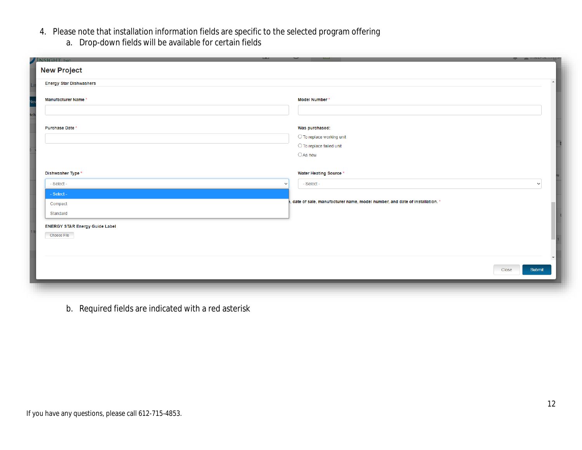- 4. Please note that installation information fields are specific to the selected program offering
	- a. Drop-down fields will be available for certain fields

| INSIGHT. INC.                         |                                                                               | <b>ENTRANCIALLY</b><br>- |
|---------------------------------------|-------------------------------------------------------------------------------|--------------------------|
| <b>New Project</b>                    |                                                                               |                          |
| <b>Energy Star Dishwashers</b>        |                                                                               | $\blacktriangle$         |
|                                       |                                                                               |                          |
| <b>Manufacturer Name*</b>             | Model Number*                                                                 |                          |
|                                       |                                                                               |                          |
|                                       |                                                                               |                          |
| Purchase Date *                       | Was purchased:                                                                |                          |
|                                       | O To replace working unit                                                     |                          |
|                                       | $\bigcirc$ To replace failed unit                                             |                          |
|                                       | $\bigcirc$ As new                                                             |                          |
|                                       |                                                                               |                          |
| Dishwasher Type *                     | <b>Water Heating Source*</b>                                                  |                          |
| - Select -<br>$\checkmark$            | - Select -                                                                    | $\checkmark$             |
| - Select -                            |                                                                               |                          |
| Compact                               | e, date of sale, manufacturer name, model number, and date of installation. * |                          |
| Standard                              |                                                                               |                          |
|                                       |                                                                               |                          |
| <b>ENERGY STAR Energy Guide Label</b> |                                                                               |                          |
| <b>Choose File</b>                    |                                                                               |                          |
|                                       |                                                                               |                          |
|                                       |                                                                               |                          |
|                                       | Close                                                                         | Submit                   |
|                                       |                                                                               |                          |
|                                       |                                                                               |                          |
|                                       |                                                                               |                          |

b. Required fields are indicated with a red asterisk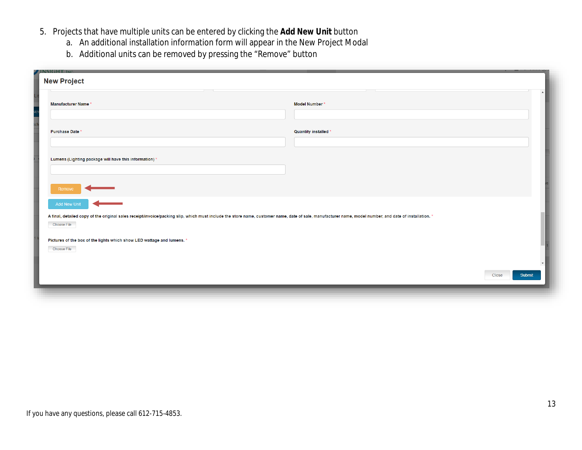- 5. Projects that have multiple units can be entered by clicking the **Add New Unit** button
	- a. An additional installation information form will appear in the New Project Modal
	- b. Additional units can be removed by pressing the "Remove" button

| INSIGHT, INC.<br><b>New Project</b>                                                                                                                                                                                    |                      |
|------------------------------------------------------------------------------------------------------------------------------------------------------------------------------------------------------------------------|----------------------|
| <b>Manufacturer Name*</b>                                                                                                                                                                                              | Model Number*        |
| Purchase Date *                                                                                                                                                                                                        | Quantity installed * |
|                                                                                                                                                                                                                        |                      |
| Lumens (Lighting package will have this information) *                                                                                                                                                                 |                      |
| Remove                                                                                                                                                                                                                 |                      |
| <b>Add New Unit</b>                                                                                                                                                                                                    |                      |
| A final, detailed copy of the original sales receipt/invoice/packing slip, which must include the store name, customer name, date of sale, manufacturer name, model number, and date of installation. *<br>Choose File |                      |
| Pictures of the box of the lights which show LED wattage and lumens. *<br><b>Choose File</b>                                                                                                                           |                      |
|                                                                                                                                                                                                                        |                      |
|                                                                                                                                                                                                                        | Submit<br>Close      |
|                                                                                                                                                                                                                        |                      |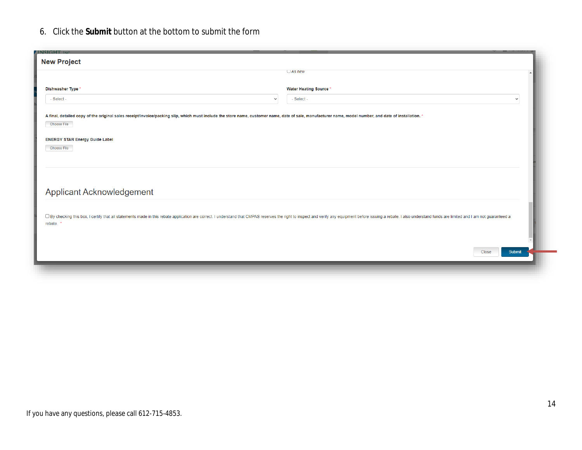#### 6. Click the **Submit** button at the bottom to submit the form

| <b>INSIGHT, INC</b><br><b>New Project</b>                                                                                                                                                                                               |                              |  |  |  |  |  |  |  |  |
|-----------------------------------------------------------------------------------------------------------------------------------------------------------------------------------------------------------------------------------------|------------------------------|--|--|--|--|--|--|--|--|
|                                                                                                                                                                                                                                         | $\cup$ As new                |  |  |  |  |  |  |  |  |
| Dishwasher Type *                                                                                                                                                                                                                       | <b>Water Heating Source*</b> |  |  |  |  |  |  |  |  |
| - Select -<br>$\checkmark$                                                                                                                                                                                                              | - Select -<br>$\checkmark$   |  |  |  |  |  |  |  |  |
| A final, detailed copy of the original sales receipt/invoice/packing slip, which must include the store name, customer name, date of sale, manufacturer name, model number, and date of installation. *<br><b>Choose File</b>           |                              |  |  |  |  |  |  |  |  |
|                                                                                                                                                                                                                                         |                              |  |  |  |  |  |  |  |  |
| <b>ENERGY STAR Energy Guide Label</b><br><b>Choose File</b>                                                                                                                                                                             |                              |  |  |  |  |  |  |  |  |
|                                                                                                                                                                                                                                         |                              |  |  |  |  |  |  |  |  |
|                                                                                                                                                                                                                                         |                              |  |  |  |  |  |  |  |  |
| Applicant Acknowledgement                                                                                                                                                                                                               |                              |  |  |  |  |  |  |  |  |
|                                                                                                                                                                                                                                         |                              |  |  |  |  |  |  |  |  |
| □ By checking this box, I certify that all statements made in this rebate application are correct. I understand that CMPAS reserves the right to inspect and verify any equipment before issuing a rebate. I also understand<br>rebate. |                              |  |  |  |  |  |  |  |  |
|                                                                                                                                                                                                                                         |                              |  |  |  |  |  |  |  |  |
|                                                                                                                                                                                                                                         | Submit<br>Close              |  |  |  |  |  |  |  |  |
|                                                                                                                                                                                                                                         |                              |  |  |  |  |  |  |  |  |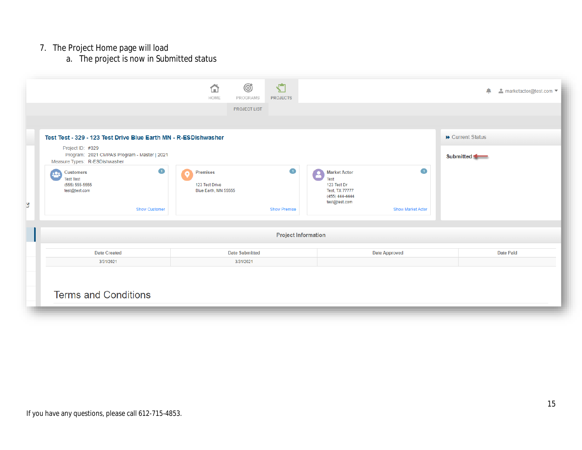#### 7. The Project Home page will load

a. The project is now in *Submitted* status

|                            |                                                                                                                       | Ø<br>⇧<br>HOME<br>PROGRAMS                                | $\sqrt{2}$<br><b>PROJECTS</b>         |                                                                                                 |                                            | △                | $\triangle$ marketactor@test.com $\blacktriangledown$ |  |  |
|----------------------------|-----------------------------------------------------------------------------------------------------------------------|-----------------------------------------------------------|---------------------------------------|-------------------------------------------------------------------------------------------------|--------------------------------------------|------------------|-------------------------------------------------------|--|--|
|                            |                                                                                                                       | <b>PROJECT LIST</b>                                       |                                       |                                                                                                 |                                            |                  |                                                       |  |  |
|                            | Test Test - 329 - 123 Test Drive Blue Earth MN - R-ESDishwasher                                                       |                                                           |                                       |                                                                                                 |                                            | ▶ Current Status |                                                       |  |  |
|                            | Project ID: #329<br>Program: 2021 CMPAS Program - Master   2021<br>Measure Types: R-ESDishwasher                      |                                                           |                                       |                                                                                                 |                                            | Submitted        |                                                       |  |  |
| з                          | $\bullet$<br><b>Customers</b><br>202<br><b>Test Test</b><br>$(555) 555-5555$<br>test@test.com<br><b>Show Customer</b> | <b>Premises</b><br>123 Test Drive<br>Blue Earth, MN 55555 | $\blacksquare$<br><b>Show Premise</b> | <b>Market Actor</b><br>Test<br>123 Test Dr<br>Test, TX 77777<br>(455) 444-4444<br>test@test.com | $\blacksquare$<br><b>Show Market Actor</b> |                  |                                                       |  |  |
| <b>Project Information</b> |                                                                                                                       |                                                           |                                       |                                                                                                 |                                            |                  |                                                       |  |  |
|                            | <b>Date Created</b>                                                                                                   | <b>Date Submitted</b>                                     |                                       |                                                                                                 | <b>Date Approved</b>                       |                  | <b>Date Paid</b>                                      |  |  |
|                            | 3/31/2021                                                                                                             | 3/31/2021                                                 |                                       |                                                                                                 |                                            |                  |                                                       |  |  |
|                            | <b>Terms and Conditions</b>                                                                                           |                                                           |                                       |                                                                                                 |                                            |                  |                                                       |  |  |